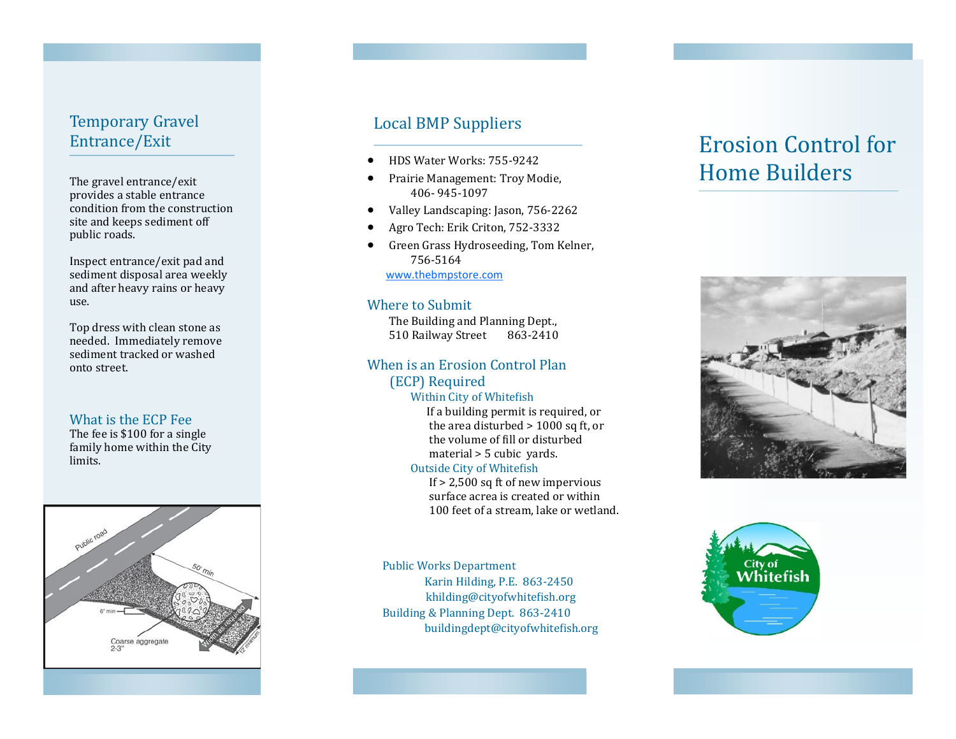# Temporary Gravel Entrance/Exit

The gravel entrance/exit provides a stable entrance condition from the construction site and keeps sediment off public roads.

Inspect entrance/exit pad and sediment disposal area weekly and after heavy rains or heavy use.

Top dress with clean stone as needed. Immediately remove sediment tracked or washed onto street.

#### What is the ECP Fee

The fee is \$100 for a single family home within the City limits.



# Local BMP Suppliers

- HDS Water Works: 755-9242
- Prairie Management: Troy Modie, 406- 945-1097
- Valley Landscaping: Jason, 756-2262
- Agro Tech: Erik Criton, 752-3332
- Green Grass Hydroseeding, Tom Kelner, 756-5164 [www.thebmpstore.com](http://www.thebmpstore.com/)

#### Where to Submit

The Building and Planning Dept., 510 Railway Street 863-2410

### When is an Erosion Control Plan

(ECP) Required

Within City of Whitefish If a building permit is required, or the area disturbed > 1000 sq ft, or

 the volume of fill or disturbed material > 5 cubic yards.

#### Outside City of Whitefish

 If > 2,500 sq ft of new impervious surface acrea is created or within 100 feet of a stream, lake or wetland.

Public Works Department Karin Hilding, P.E. 863-2450 khilding@cityofwhitefish.org Building & Planning Dept. 863-2410 buildingdept@cityofwhitefish.org

# Erosion Control for Home Builders